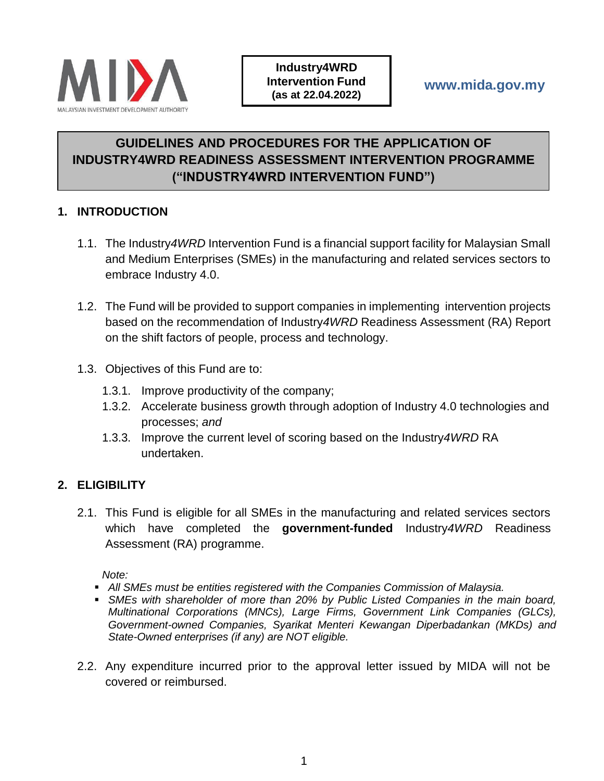

# **GUIDELINES AND PROCEDURES FOR THE APPLICATION OF INDUSTRY4WRD READINESS ASSESSMENT INTERVENTION PROGRAMME ("INDUSTRY4WRD INTERVENTION FUND")**

# **1. INTRODUCTION**

- 1.1. The Industry*4WRD* Intervention Fund is a financial support facility for Malaysian Small and Medium Enterprises (SMEs) in the manufacturing and related services sectors to embrace Industry 4.0.
- 1.2. The Fund will be provided to support companies in implementing intervention projects based on the recommendation of Industry*4WRD* Readiness Assessment (RA) Report on the shift factors of people, process and technology.
- 1.3. Objectives of this Fund are to:
	- 1.3.1. Improve productivity of the company;
	- 1.3.2. Accelerate business growth through adoption of Industry 4.0 technologies and processes; *and*
	- 1.3.3. Improve the current level of scoring based on the Industry*4WRD* RA undertaken.

# **2. ELIGIBILITY**

2.1. This Fund is eligible for all SMEs in the manufacturing and related services sectors which have completed the **government-funded** Industry*4WRD* Readiness Assessment (RA) programme.

*Note:* 

- *All SMEs must be entities registered with the Companies Commission of Malaysia.*
- **SMEs with shareholder of more than 20% by Public Listed Companies in the main board,** *Multinational Corporations (MNCs), Large Firms, Government Link Companies (GLCs), Government-owned Companies, Syarikat Menteri Kewangan Diperbadankan (MKDs) and State-Owned enterprises (if any) are NOT eligible.*
- 2.2. Any expenditure incurred prior to the approval letter issued by MIDA will not be covered or reimbursed.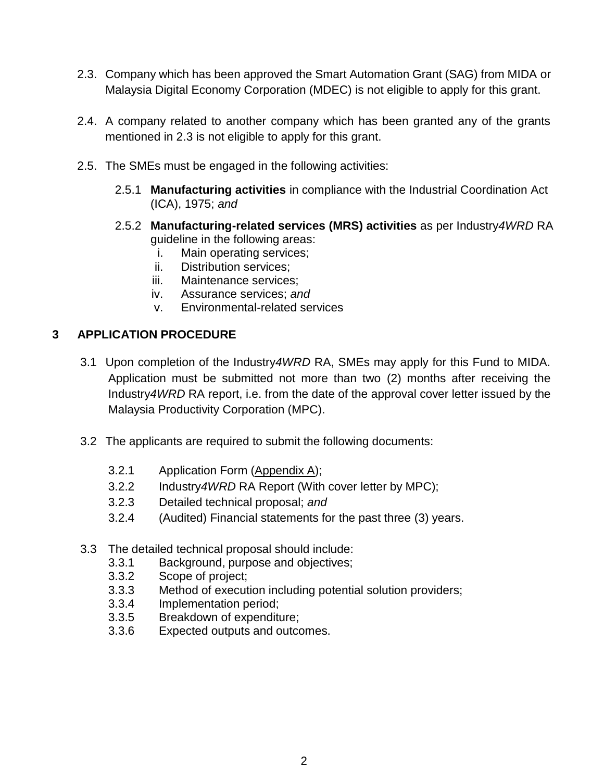- 2.3. Company which has been approved the Smart Automation Grant (SAG) from MIDA or Malaysia Digital Economy Corporation (MDEC) is not eligible to apply for this grant.
- 2.4. A company related to another company which has been granted any of the grants mentioned in 2.3 is not eligible to apply for this grant.
- 2.5. The SMEs must be engaged in the following activities:
	- 2.5.1 **Manufacturing activities** in compliance with the Industrial Coordination Act (ICA), 1975; *and*
	- 2.5.2 **Manufacturing-related services (MRS) activities** as per Industry*4WRD* RA guideline in the following areas:
		- i. Main operating services;
		- ii. Distribution services;
		- iii. Maintenance services;
		- iv. Assurance services; *and*
		- v. Environmental-related services

# **3 APPLICATION PROCEDURE**

- 3.1 Upon completion of the Industry*4WRD* RA, SMEs may apply for this Fund to MIDA. Application must be submitted not more than two (2) months after receiving the Industry*4WRD* RA report, i.e. from the date of the approval cover letter issued by the Malaysia Productivity Corporation (MPC).
- 3.2 The applicants are required to submit the following documents:
	- 3.2.1 Application Form (Appendix A);
	- 3.2.2 Industry*4WRD* RA Report (With cover letter by MPC);
	- 3.2.3 Detailed technical proposal; *and*
	- 3.2.4 (Audited) Financial statements for the past three (3) years.
- 3.3 The detailed technical proposal should include:
	- 3.3.1 Background, purpose and objectives;
	- 3.3.2 Scope of project;
	- 3.3.3 Method of execution including potential solution providers;
	- 3.3.4 Implementation period;
	- 3.3.5 Breakdown of expenditure;
	- 3.3.6 Expected outputs and outcomes.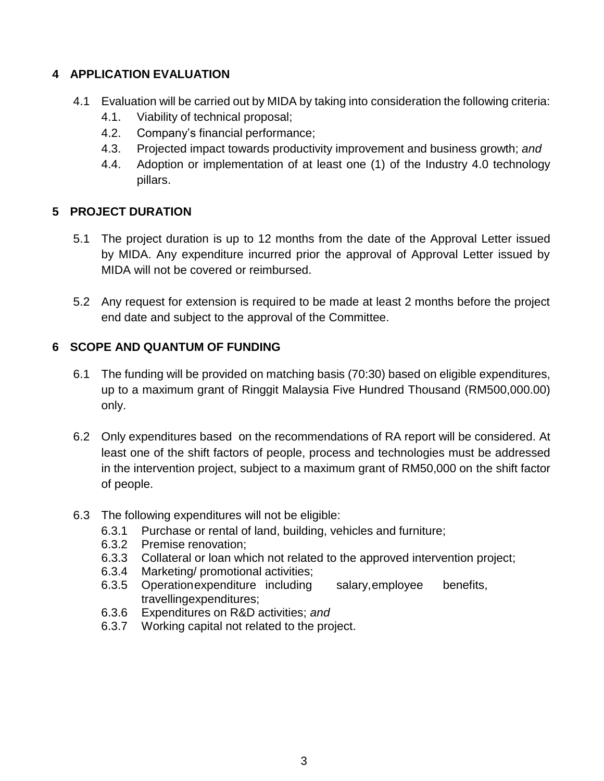# **4 APPLICATION EVALUATION**

- 4.1 Evaluation will be carried out by MIDA by taking into consideration the following criteria:
	- 4.1. Viability of technical proposal;
	- 4.2. Company's financial performance;
	- 4.3. Projected impact towards productivity improvement and business growth; *and*
	- 4.4. Adoption or implementation of at least one (1) of the Industry 4.0 technology pillars.

# **5 PROJECT DURATION**

- 5.1 The project duration is up to 12 months from the date of the Approval Letter issued by MIDA. Any expenditure incurred prior the approval of Approval Letter issued by MIDA will not be covered or reimbursed.
- 5.2 Any request for extension is required to be made at least 2 months before the project end date and subject to the approval of the Committee.

# **6 SCOPE AND QUANTUM OF FUNDING**

- 6.1 The funding will be provided on matching basis (70:30) based on eligible expenditures, up to a maximum grant of Ringgit Malaysia Five Hundred Thousand (RM500,000.00) only.
- 6.2 Only expenditures based on the recommendations of RA report will be considered. At least one of the shift factors of people, process and technologies must be addressed in the intervention project, subject to a maximum grant of RM50,000 on the shift factor of people.
- 6.3 The following expenditures will not be eligible:
	- 6.3.1 Purchase or rental of land, building, vehicles and furniture;
	- 6.3.2 Premise renovation;
	- 6.3.3 Collateral or loan which not related to the approved intervention project;
	- 6.3.4 Marketing/ promotional activities;
	- 6.3.5 Operationexpenditure including salary,employee benefits, travellingexpenditures;
	- 6.3.6 Expenditures on R&D activities; *and*
	- 6.3.7 Working capital not related to the project.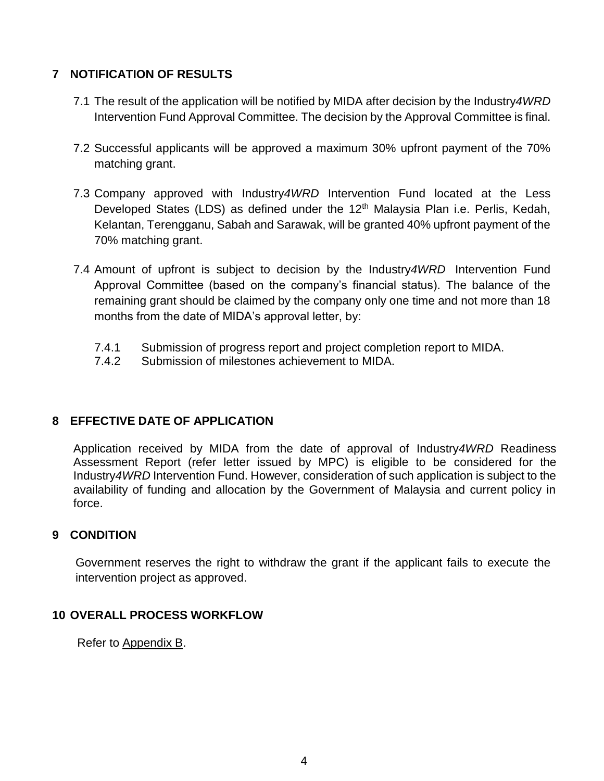#### **7 NOTIFICATION OF RESULTS**

- 7.1 The result of the application will be notified by MIDA after decision by the Industry*4WRD* Intervention Fund Approval Committee. The decision by the Approval Committee is final.
- 7.2 Successful applicants will be approved a maximum 30% upfront payment of the 70% matching grant.
- 7.3 Company approved with Industry*4WRD* Intervention Fund located at the Less Developed States (LDS) as defined under the  $12<sup>th</sup>$  Malaysia Plan i.e. Perlis, Kedah, Kelantan, Terengganu, Sabah and Sarawak, will be granted 40% upfront payment of the 70% matching grant.
- 7.4 Amount of upfront is subject to decision by the Industry*4WRD* Intervention Fund Approval Committee (based on the company's financial status). The balance of the remaining grant should be claimed by the company only one time and not more than 18 months from the date of MIDA's approval letter, by:
	- 7.4.1 Submission of progress report and project completion report to MIDA.
	- 7.4.2 Submission of milestones achievement to MIDA.

#### **8 EFFECTIVE DATE OF APPLICATION**

Application received by MIDA from the date of approval of Industry*4WRD* Readiness Assessment Report (refer letter issued by MPC) is eligible to be considered for the Industry*4WRD* Intervention Fund. However, consideration of such application is subject to the availability of funding and allocation by the Government of Malaysia and current policy in force.

#### **9 CONDITION**

Government reserves the right to withdraw the grant if the applicant fails to execute the intervention project as approved.

#### **10 OVERALL PROCESS WORKFLOW**

Refer to Appendix B.